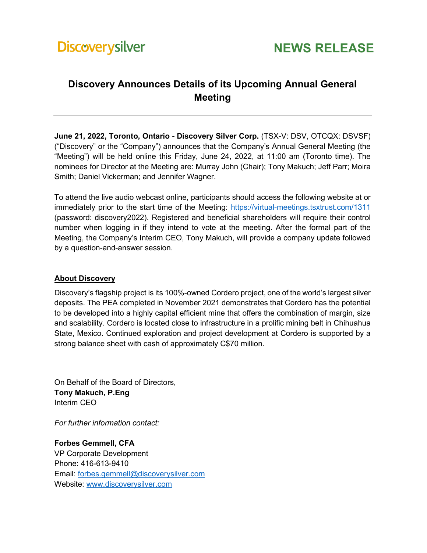## **Discovery Announces Details of its Upcoming Annual General Meeting**

**June 21, 2022, Toronto, Ontario - Discovery Silver Corp.** (TSX-V: DSV, OTCQX: DSVSF) ("Discovery" or the "Company") announces that the Company's Annual General Meeting (the "Meeting") will be held online this Friday, June 24, 2022, at 11:00 am (Toronto time). The nominees for Director at the Meeting are: Murray John (Chair); Tony Makuch; Jeff Parr; Moira Smith; Daniel Vickerman; and Jennifer Wagner.

To attend the live audio webcast online, participants should access the following website at or immediately prior to the start time of the Meeting:<https://virtual-meetings.tsxtrust.com/1311> (password: discovery2022). Registered and beneficial shareholders will require their control number when logging in if they intend to vote at the meeting. After the formal part of the Meeting, the Company's Interim CEO, Tony Makuch, will provide a company update followed by a question-and-answer session.

## **About Discovery**

Discovery's flagship project is its 100%-owned Cordero project, one of the world's largest silver deposits. The PEA completed in November 2021 demonstrates that Cordero has the potential to be developed into a highly capital efficient mine that offers the combination of margin, size and scalability. Cordero is located close to infrastructure in a prolific mining belt in Chihuahua State, Mexico. Continued exploration and project development at Cordero is supported by a strong balance sheet with cash of approximately C\$70 million.

On Behalf of the Board of Directors, **Tony Makuch, P.Eng** Interim CEO

*For further information contact:* 

**Forbes Gemmell, CFA** VP Corporate Development Phone: 416-613-9410 Email: [forbes.gemmell@discoverysilver.com](mailto:forbes.gemmell@discoverysilver.com) Website: [www.discoverysilver.com](http://www.discoverysilver.com/)